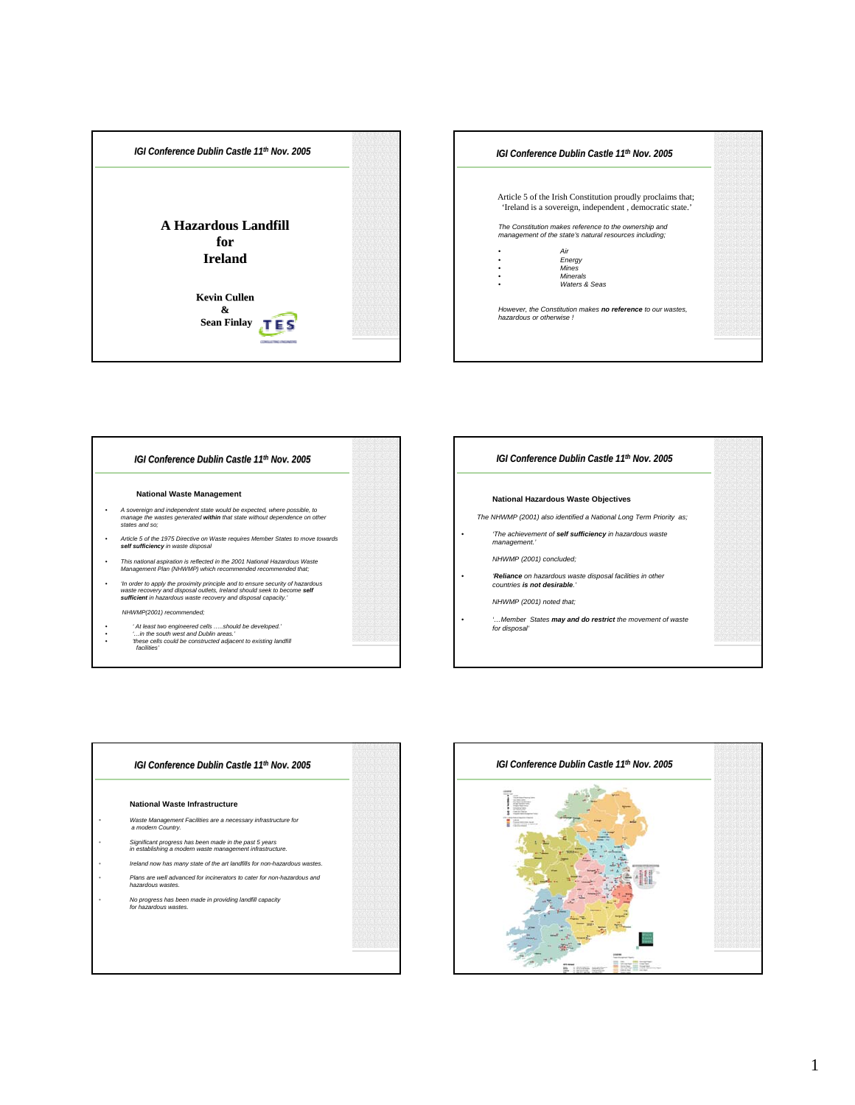







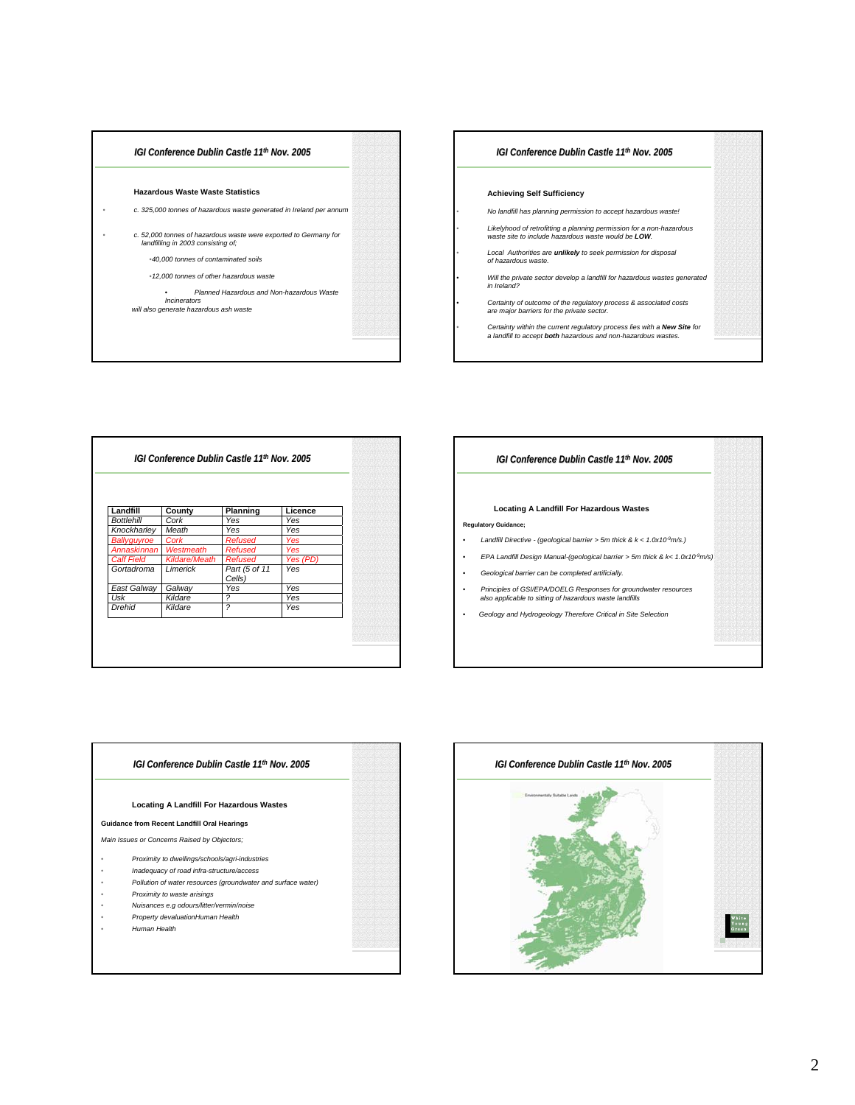



| Landfill          | County        | Planning                 | Licence    |
|-------------------|---------------|--------------------------|------------|
| <b>Bottlehill</b> | Cork          | Yes                      | Yes        |
| Knockharley       | Meath         | Yes                      | Yes        |
| Ballyquyroe       | Cork          | Refused                  | <b>Yes</b> |
| Annaskinnan       | Westmeath     | Refused                  | <b>Yes</b> |
| <b>Calf Field</b> | Kildare/Meath | Refused                  | Yes (PD)   |
| Gortadroma        | Limerick      | Part (5 of 11<br>Cells)  | Yes        |
| East Galway       | Galway        | Yes                      | Yes        |
| Usk               | Kildare       | $\overline{\phantom{a}}$ | Yes        |
| Drehid            | Kildare       | $\overline{\phantom{a}}$ | Yes        |

## *IGI Conference Dublin Castle 11th Nov. 2005*

## **Locating A Landfill For Hazardous Wastes**

- **Regulatory Guidance;**
- *Landfill Directive (geological barrier > 5m thick & k < 1.0x10-9m/s.)*
- *EPA Landfill Design Manual-(geological barrier > 5m thick & k< 1.0x10-9m/s)*
- *Geological barrier can be completed artificially.*
- *Principles of GSI/EPA/DOELG Responses for groundwater resources also applicable to sitting of hazardous waste landfills*
- *Geology and Hydrogeology Therefore Critical in Site Selection*